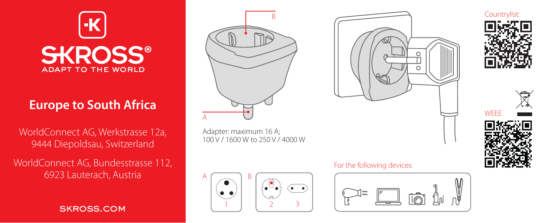

# **Europe to South Africa**

WorldConnect AG, Werkstrasse 12a, 9444 Diepoldsau, Switzerland

WorldConnect AG, Bundesstrasse 112, 6923 Lauterach, Austria

skross.com



Adapter: maximum 16 A; 100 V / 1600 W to 250 V / 4000 W



## For the following devices: